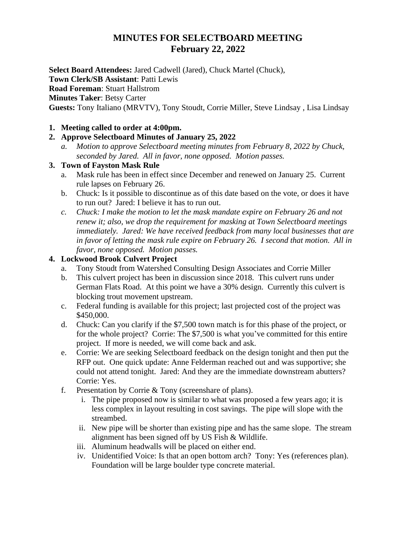# **MINUTES FOR SELECTBOARD MEETING February 22, 2022**

**Select Board Attendees:** Jared Cadwell (Jared), Chuck Martel (Chuck), **Town Clerk/SB Assistant**: Patti Lewis **Road Foreman**: Stuart Hallstrom **Minutes Taker**: Betsy Carter **Guests:** Tony Italiano (MRVTV), Tony Stoudt, Corrie Miller, Steve Lindsay , Lisa Lindsay

#### **1. Meeting called to order at 4:00pm.**

### **2. Approve Selectboard Minutes of January 25, 2022**

*a. Motion to approve Selectboard meeting minutes from February 8, 2022 by Chuck, seconded by Jared. All in favor, none opposed. Motion passes.*

#### **3. Town of Fayston Mask Rule**

- a. Mask rule has been in effect since December and renewed on January 25. Current rule lapses on February 26.
- b. Chuck: Is it possible to discontinue as of this date based on the vote, or does it have to run out? Jared: I believe it has to run out.
- *c. Chuck: I make the motion to let the mask mandate expire on February 26 and not renew it; also, we drop the requirement for masking at Town Selectboard meetings immediately. Jared: We have received feedback from many local businesses that are in favor of letting the mask rule expire on February 26. I second that motion. All in favor, none opposed. Motion passes.*

### **4. Lockwood Brook Culvert Project**

- a. Tony Stoudt from Watershed Consulting Design Associates and Corrie Miller
- b. This culvert project has been in discussion since 2018. This culvert runs under German Flats Road. At this point we have a 30% design. Currently this culvert is blocking trout movement upstream.
- c. Federal funding is available for this project; last projected cost of the project was \$450,000.
- d. Chuck: Can you clarify if the \$7,500 town match is for this phase of the project, or for the whole project? Corrie: The \$7,500 is what you've committed for this entire project. If more is needed, we will come back and ask.
- e. Corrie: We are seeking Selectboard feedback on the design tonight and then put the RFP out. One quick update: Anne Felderman reached out and was supportive; she could not attend tonight. Jared: And they are the immediate downstream abutters? Corrie: Yes.
- f. Presentation by Corrie & Tony (screenshare of plans).
	- i. The pipe proposed now is similar to what was proposed a few years ago; it is less complex in layout resulting in cost savings. The pipe will slope with the streambed.
	- ii. New pipe will be shorter than existing pipe and has the same slope. The stream alignment has been signed off by US Fish & Wildlife.
	- iii. Aluminum headwalls will be placed on either end.
	- iv. Unidentified Voice: Is that an open bottom arch? Tony: Yes (references plan). Foundation will be large boulder type concrete material.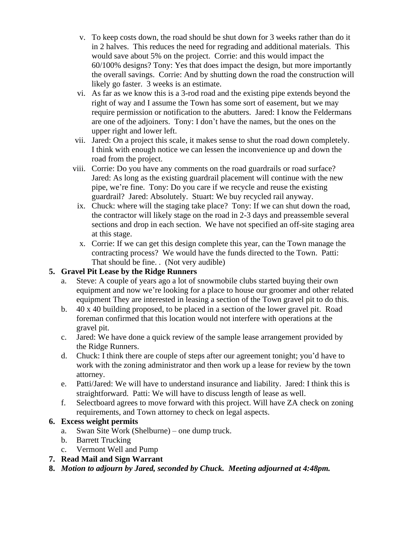- v. To keep costs down, the road should be shut down for 3 weeks rather than do it in 2 halves. This reduces the need for regrading and additional materials. This would save about 5% on the project. Corrie: and this would impact the 60/100% designs? Tony: Yes that does impact the design, but more importantly the overall savings. Corrie: And by shutting down the road the construction will likely go faster. 3 weeks is an estimate.
- vi. As far as we know this is a 3-rod road and the existing pipe extends beyond the right of way and I assume the Town has some sort of easement, but we may require permission or notification to the abutters. Jared: I know the Feldermans are one of the adjoiners. Tony: I don't have the names, but the ones on the upper right and lower left.
- vii. Jared: On a project this scale, it makes sense to shut the road down completely. I think with enough notice we can lessen the inconvenience up and down the road from the project.
- viii. Corrie: Do you have any comments on the road guardrails or road surface? Jared: As long as the existing guardrail placement will continue with the new pipe, we're fine. Tony: Do you care if we recycle and reuse the existing guardrail? Jared: Absolutely. Stuart: We buy recycled rail anyway.
- ix. Chuck: where will the staging take place? Tony: If we can shut down the road, the contractor will likely stage on the road in 2-3 days and preassemble several sections and drop in each section. We have not specified an off-site staging area at this stage.
- x. Corrie: If we can get this design complete this year, can the Town manage the contracting process? We would have the funds directed to the Town. Patti: That should be fine. . (Not very audible)

# **5. Gravel Pit Lease by the Ridge Runners**

- a. Steve: A couple of years ago a lot of snowmobile clubs started buying their own equipment and now we're looking for a place to house our groomer and other related equipment They are interested in leasing a section of the Town gravel pit to do this.
- b. 40 x 40 building proposed, to be placed in a section of the lower gravel pit. Road foreman confirmed that this location would not interfere with operations at the gravel pit.
- c. Jared: We have done a quick review of the sample lease arrangement provided by the Ridge Runners.
- d. Chuck: I think there are couple of steps after our agreement tonight; you'd have to work with the zoning administrator and then work up a lease for review by the town attorney.
- e. Patti/Jared: We will have to understand insurance and liability. Jared: I think this is straightforward. Patti: We will have to discuss length of lease as well.
- f. Selectboard agrees to move forward with this project. Will have ZA check on zoning requirements, and Town attorney to check on legal aspects.

# **6. Excess weight permits**

- a. Swan Site Work (Shelburne) one dump truck.
- b. Barrett Trucking
- c. Vermont Well and Pump
- **7. Read Mail and Sign Warrant**
- **8.** *Motion to adjourn by Jared, seconded by Chuck. Meeting adjourned at 4:48pm.*